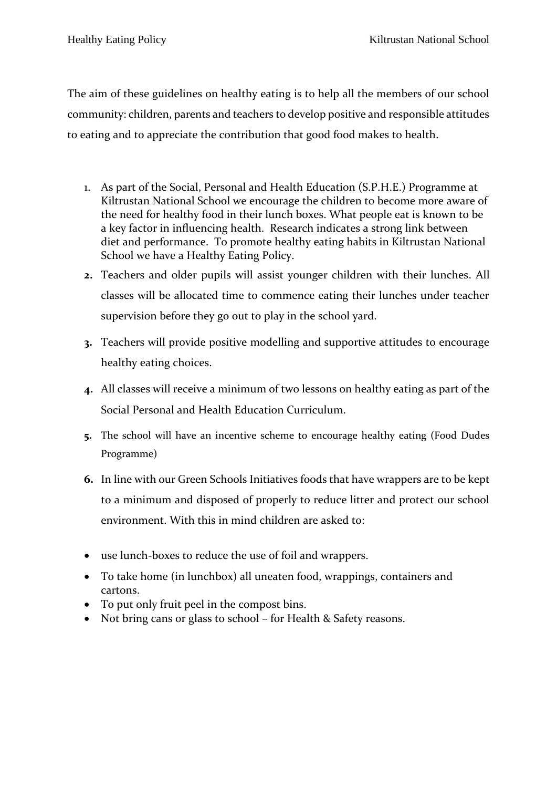The aim of these guidelines on healthy eating is to help all the members of our school community: children, parents and teachers to develop positive and responsible attitudes to eating and to appreciate the contribution that good food makes to health.

- 1. As part of the Social, Personal and Health Education (S.P.H.E.) Programme at Kiltrustan National School we encourage the children to become more aware of the need for healthy food in their lunch boxes. What people eat is known to be a key factor in influencing health. Research indicates a strong link between diet and performance. To promote healthy eating habits in Kiltrustan National School we have a Healthy Eating Policy.
- **2.** Teachers and older pupils will assist younger children with their lunches. All classes will be allocated time to commence eating their lunches under teacher supervision before they go out to play in the school yard.
- **3.** Teachers will provide positive modelling and supportive attitudes to encourage healthy eating choices.
- **4.** All classes will receive a minimum of two lessons on healthy eating as part of the Social Personal and Health Education Curriculum.
- **5.** The school will have an incentive scheme to encourage healthy eating (Food Dudes Programme)
- **6.** In line with our Green Schools Initiatives foods that have wrappers are to be kept to a minimum and disposed of properly to reduce litter and protect our school environment. With this in mind children are asked to:
- use lunch-boxes to reduce the use of foil and wrappers.
- To take home (in lunchbox) all uneaten food, wrappings, containers and cartons.
- To put only fruit peel in the compost bins.
- Not bring cans or glass to school for Health & Safety reasons.